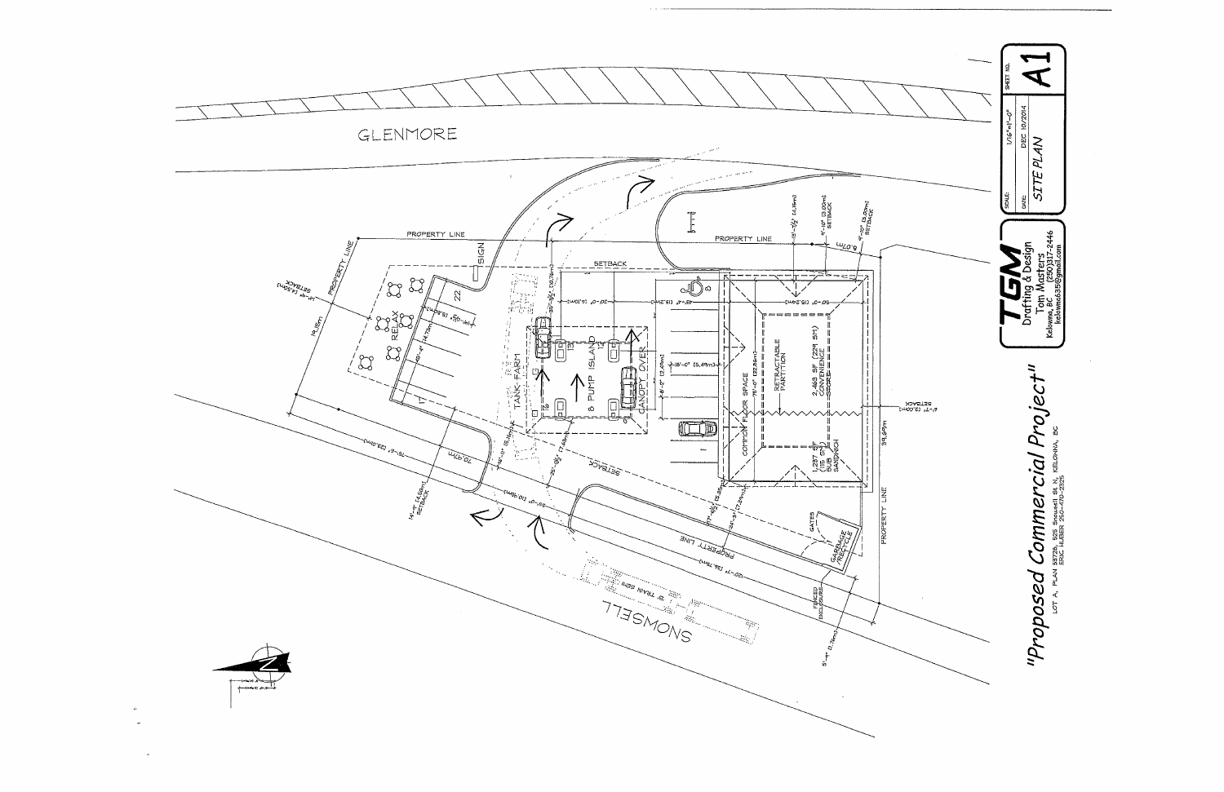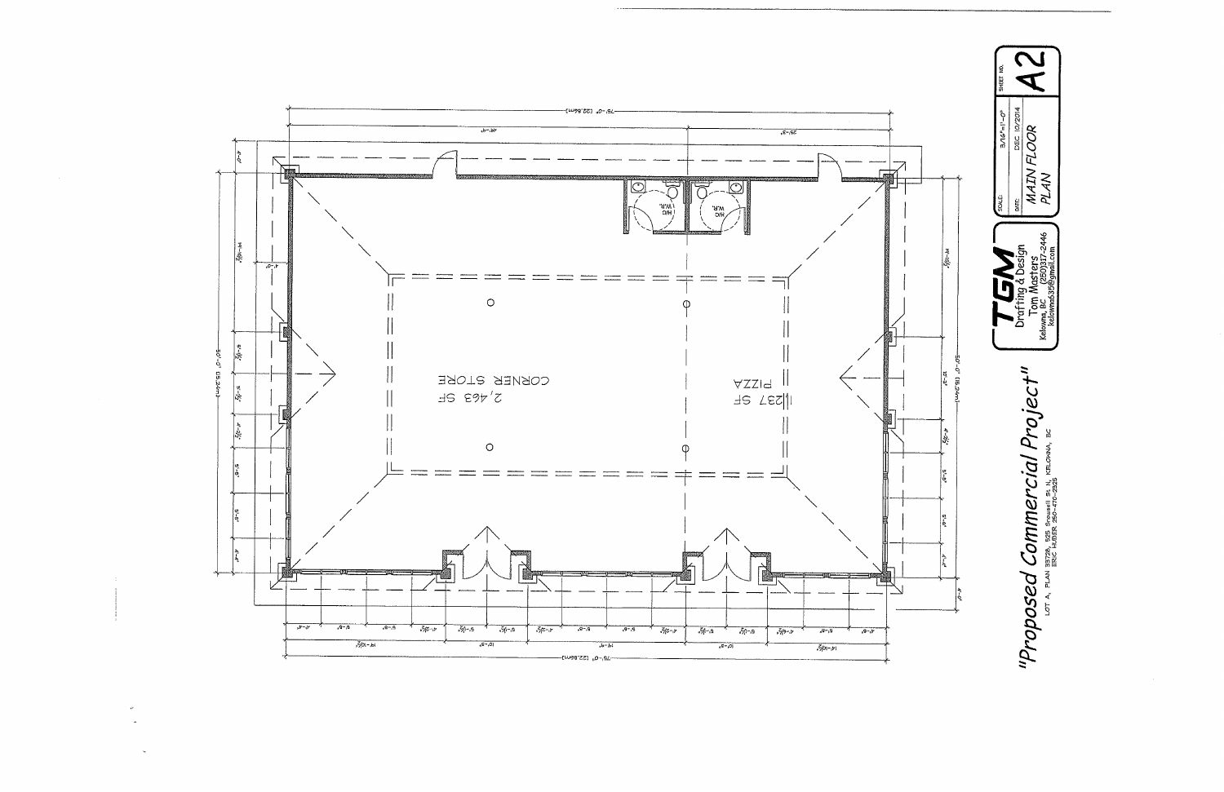

7  $\frac{\text{MATN FIC 107204}}{\text{MAX FLOOR}}$  PLAN Ş ឆ្ល IJ  $\frac{\text{Length} \delta}{\text{Tom } \text{Mon}}$ Kelowna<br>kelo  $"Proposed \: Compute \: (allow {\# \space \negthinspace P} \: \negthinspace \circ \: \mathcal{O} \: \mathcal{O} \: \mathcal{O} \: \mathcal{O} \: \mathcal{O} \: \mathcal{O} \: \mathcal{O} \: \mathcal{O} \: \mathcal{O} \: \mathcal{O} \: \mathcal{O} \: \mathcal{O} \: \mathcal{O} \: \mathcal{O} \: \mathcal{O} \: \mathcal{O} \: \mathcal{O} \: \mathcal{O} \: \mathcal{O} \: \mathcal{O} \: \mathcal{O} \: \mathcal{O} \: \mathcal{O} \: \mathcal{O}$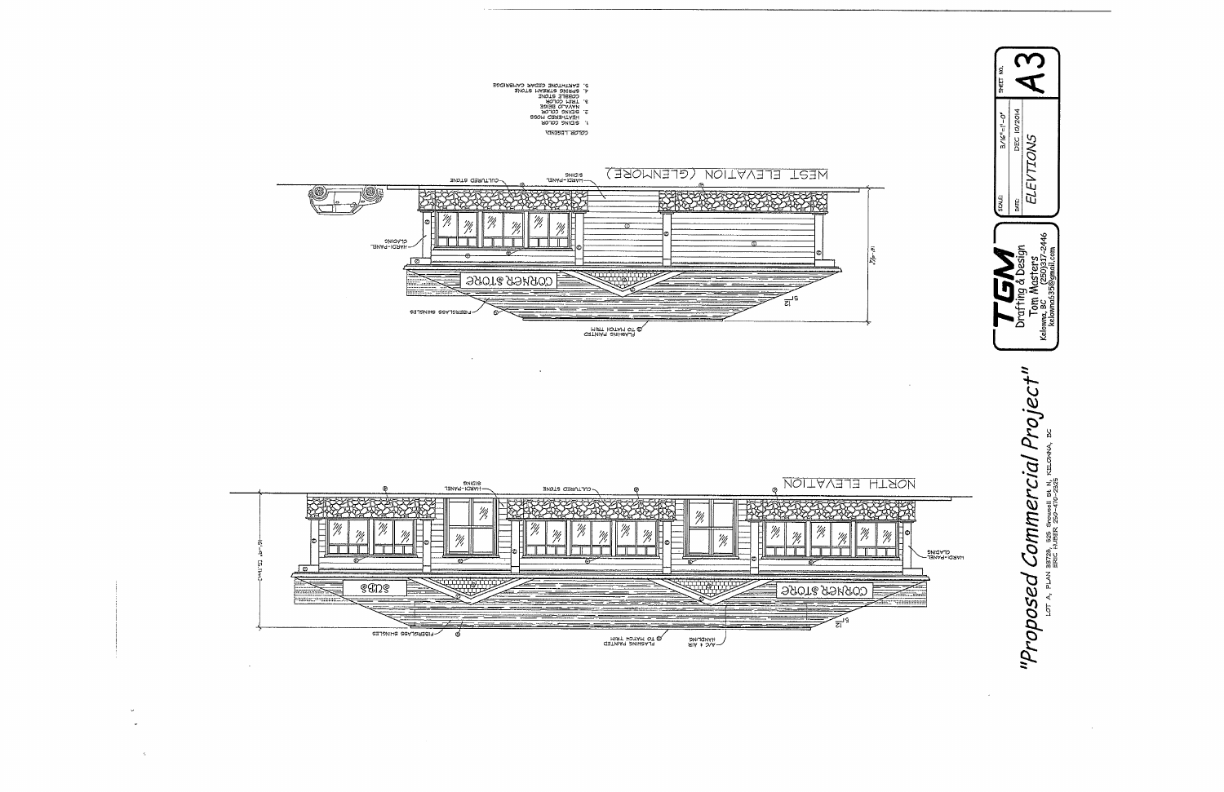| EARTHTCNE CEDAR CAMBRIDGE            | - 9 |
|--------------------------------------|-----|
| A SPRING STREAM STONE                |     |
| SNOLS 318800<br><b>SCIOD MIRT .E</b> |     |
| <b>HAVAJO BEICE</b>                  |     |
| 20100 ONIGIS 'Z<br>RRATHERED MOSS    |     |
| <b>AUTOR COLOR</b>                   |     |
| TOR357 80105                         |     |







 $\infty$  $\blacktriangleleft$  $\frac{46}{5}$  $\begin{array}{c}\n\begin{array}{c}\n\hline\n\end{array}\n\end{array}\n\begin{array}{c}\n\hline\n\end{array}\n\begin{array}{c}\n\hline\n\end{array}\n\end{array}\n\begin{array}{c}\n\hline\n\end{array}\n\begin{array}{c}\n\hline\n\end{array}\n\end{array}\n\begin{array}{c}\n\hline\n\end{array}\n\begin{array}{c}\n\hline\n\end{array}\n\end{array}\n\begin{array}{c}\n\hline\n\end{array}\n\begin{array}{c}\n\hline\n\end{array}\n\end{array}\n\begin{array}{c}\n\hline\n\end{array}\n\end$  $"Proposed \: Compute \: real \: per \: 200\% of the \: 200\% of the \: 200\% of the \: 200\% of the \: 200\% of the \: 200\% of the \: 200\% of the \: 200\% of the \: 200\% of the \: 200\% of the \: 200\% of the \: 200\% of the \: 200\% of the \: 200\% of the \: 200\% of the \: 200\% of the \: 200\% of the \: 200\% of the \: 200\% of the \: 200\% of the \: 200\%$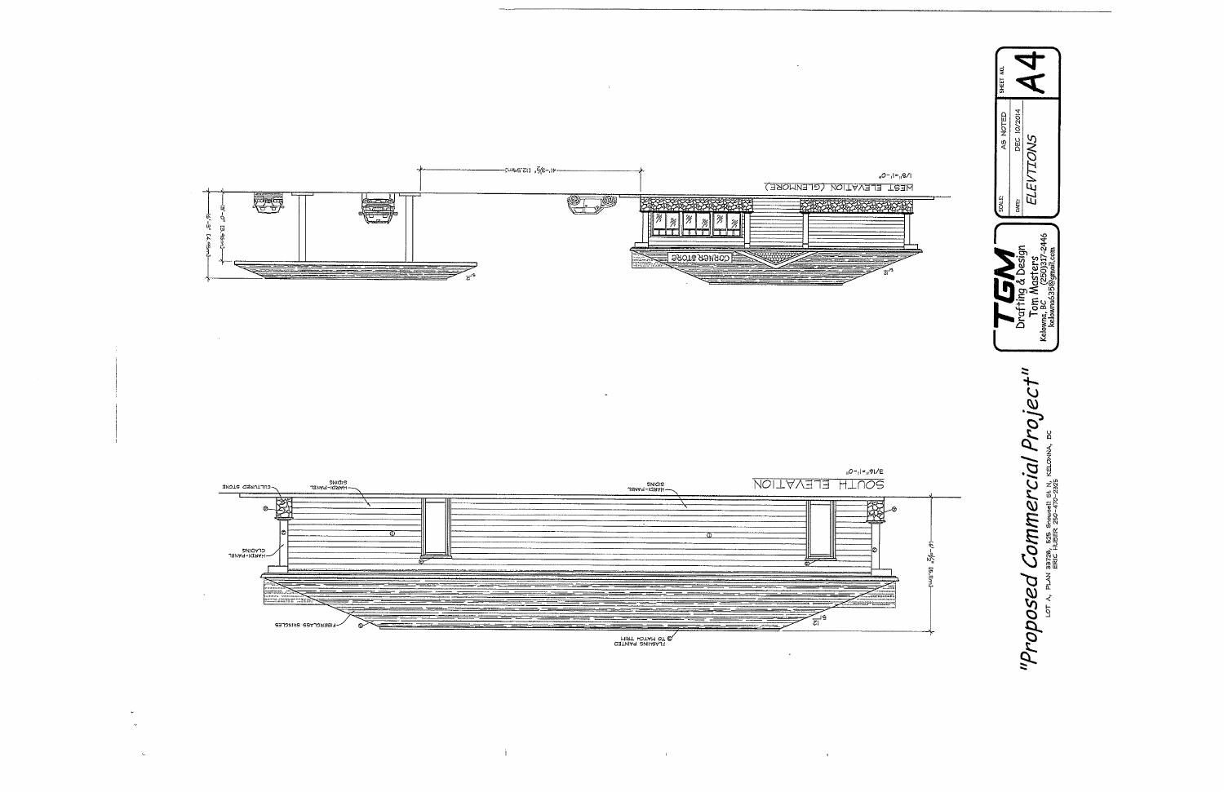

 $\sim$ 



 $\mathcal{L}^{\mathcal{L}}(\mathcal{L}^{\mathcal{L}})$  . The contribution of  $\mathcal{L}^{\mathcal{L}}(\mathcal{L}^{\mathcal{L}})$ 

 $\mathbf{u}$  .

 $\mathcal{A}$  .



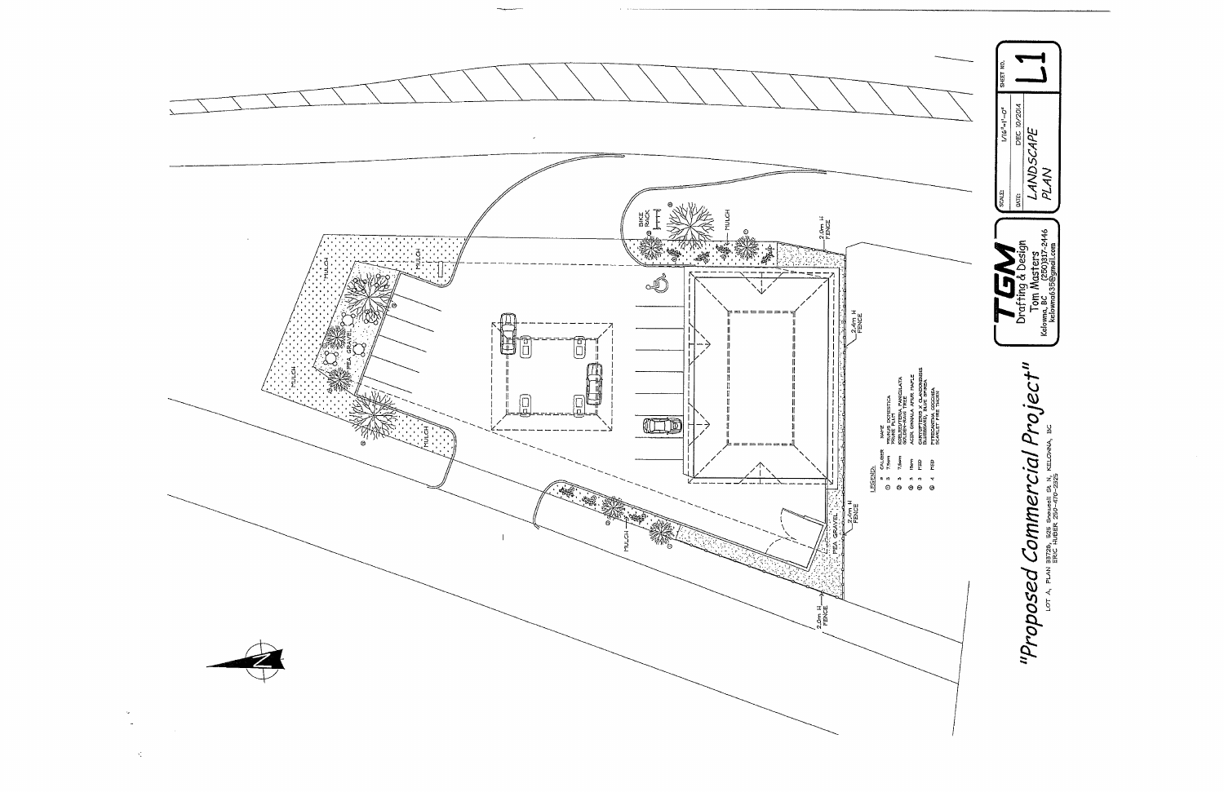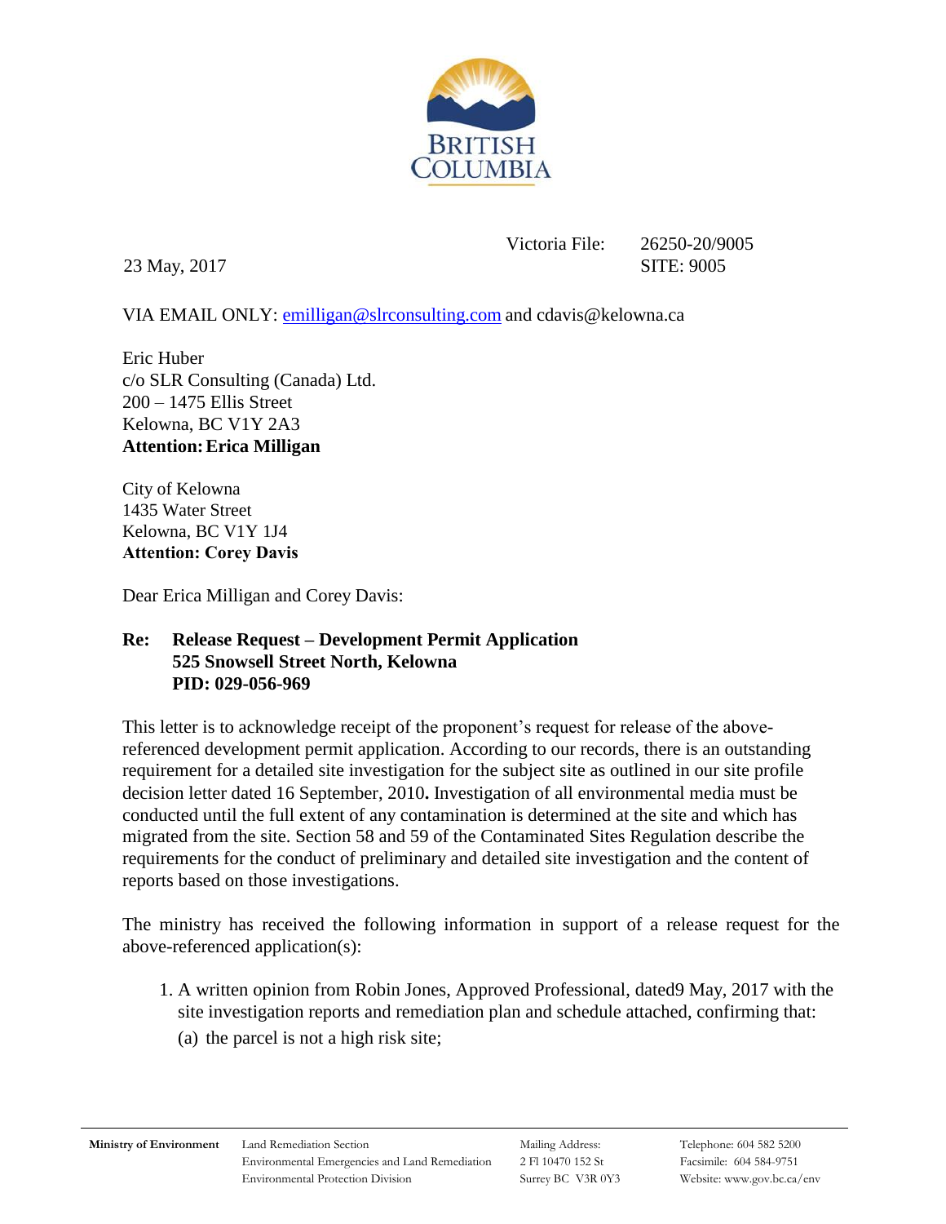

23 May, 2017 SITE: 9005

Victoria File: 26250-20/9005

VIA EMAIL ONLY: [emilligan@slrconsulting.com](mailto:emilligan@slrconsulting.com) and cdavis@kelowna.ca

Eric Huber c/o SLR Consulting (Canada) Ltd. 200 – 1475 Ellis Street Kelowna, BC V1Y 2A3 **Attention:Erica Milligan**

City of Kelowna 1435 Water Street Kelowna, BC V1Y 1J4 **Attention: Corey Davis**

Dear Erica Milligan and Corey Davis:

## **Re: Release Request – Development Permit Application 525 Snowsell Street North, Kelowna PID: 029-056-969**

This letter is to acknowledge receipt of the proponent's request for release of the abovereferenced development permit application. According to our records, there is an outstanding requirement for a detailed site investigation for the subject site as outlined in our site profile decision letter dated 16 September, 2010**.** Investigation of all environmental media must be conducted until the full extent of any contamination is determined at the site and which has migrated from the site. Section 58 and 59 of the Contaminated Sites Regulation describe the requirements for the conduct of preliminary and detailed site investigation and the content of reports based on those investigations.

The ministry has received the following information in support of a release request for the above-referenced application(s):

- 1. A written opinion from Robin Jones, Approved Professional, dated9 May, 2017 with the site investigation reports and remediation plan and schedule attached, confirming that:
	- (a) the parcel is not a high risk site;

**Ministry of Environment** Land Remediation Section Mailing Address: Telephone: 604 582 5200 Environmental Emergencies and Land Remediation 2 Fl 10470 152 St Environmental Protection Division Surrey BC V3R 0Y3 Website: www.gov.bc.ca/env

Surrey BC V3R 0Y3

Facsimile: 604 584-9751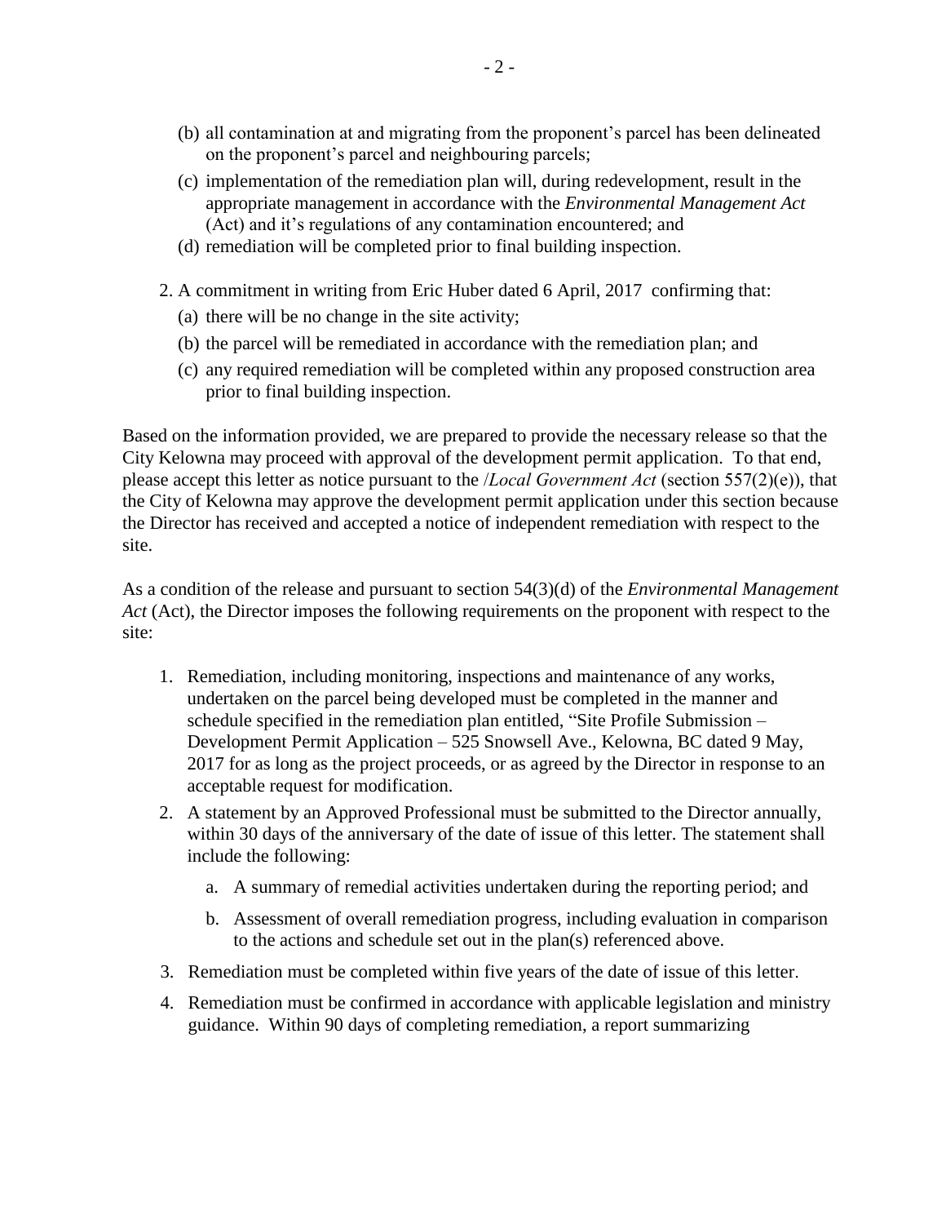- (b) all contamination at and migrating from the proponent's parcel has been delineated on the proponent's parcel and neighbouring parcels;
- (c) implementation of the remediation plan will, during redevelopment, result in the appropriate management in accordance with the *Environmental Management Act* (Act) and it's regulations of any contamination encountered; and
- (d) remediation will be completed prior to final building inspection.
- 2. A commitment in writing from Eric Huber dated 6 April, 2017 confirming that:
	- (a) there will be no change in the site activity;
	- (b) the parcel will be remediated in accordance with the remediation plan; and
	- (c) any required remediation will be completed within any proposed construction area prior to final building inspection.

Based on the information provided, we are prepared to provide the necessary release so that the City Kelowna may proceed with approval of the development permit application. To that end, please accept this letter as notice pursuant to the /*Local Government Act* (section 557(2)(e)), that the City of Kelowna may approve the development permit application under this section because the Director has received and accepted a notice of independent remediation with respect to the site.

As a condition of the release and pursuant to section 54(3)(d) of the *Environmental Management Act* (Act), the Director imposes the following requirements on the proponent with respect to the site:

- 1. Remediation, including monitoring, inspections and maintenance of any works, undertaken on the parcel being developed must be completed in the manner and schedule specified in the remediation plan entitled, "Site Profile Submission – Development Permit Application – 525 Snowsell Ave., Kelowna, BC dated 9 May, 2017 for as long as the project proceeds, or as agreed by the Director in response to an acceptable request for modification.
- 2. A statement by an Approved Professional must be submitted to the Director annually, within 30 days of the anniversary of the date of issue of this letter. The statement shall include the following:
	- a. A summary of remedial activities undertaken during the reporting period; and
	- b. Assessment of overall remediation progress, including evaluation in comparison to the actions and schedule set out in the plan(s) referenced above.
- 3. Remediation must be completed within five years of the date of issue of this letter.
- 4. Remediation must be confirmed in accordance with applicable legislation and ministry guidance. Within 90 days of completing remediation, a report summarizing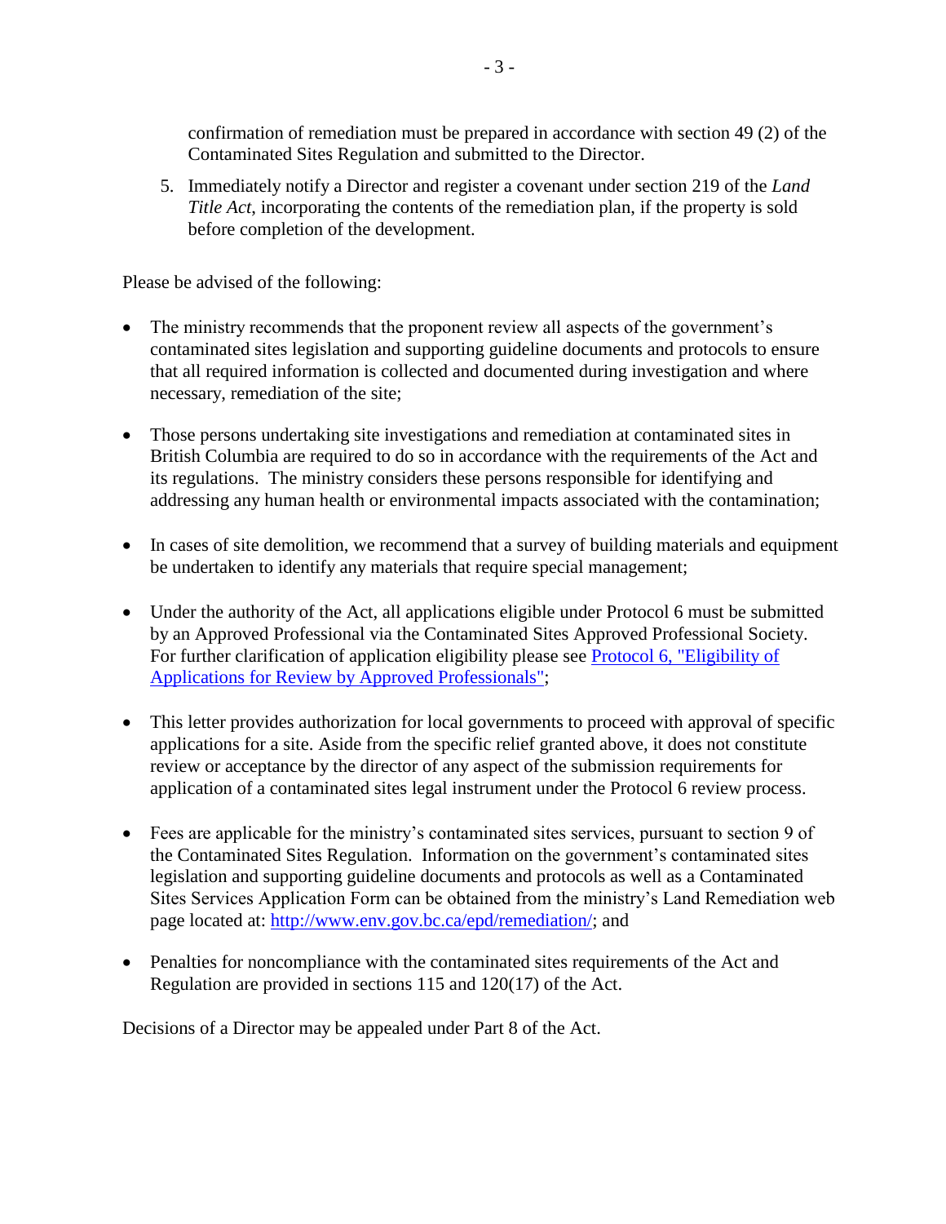confirmation of remediation must be prepared in accordance with section 49 (2) of the Contaminated Sites Regulation and submitted to the Director.

5. Immediately notify a Director and register a covenant under section 219 of the *Land Title Act*, incorporating the contents of the remediation plan, if the property is sold before completion of the development.

Please be advised of the following:

- The ministry recommends that the proponent review all aspects of the government's contaminated sites legislation and supporting guideline documents and protocols to ensure that all required information is collected and documented during investigation and where necessary, remediation of the site;
- Those persons undertaking site investigations and remediation at contaminated sites in British Columbia are required to do so in accordance with the requirements of the Act and its regulations. The ministry considers these persons responsible for identifying and addressing any human health or environmental impacts associated with the contamination;
- In cases of site demolition, we recommend that a survey of building materials and equipment be undertaken to identify any materials that require special management;
- Under the authority of the Act, all applications eligible under Protocol 6 must be submitted by an Approved Professional via the Contaminated Sites Approved Professional Society. For further clarification of application eligibility please see [Protocol 6, "Eligibility of](http://www.env.gov.bc.ca/epd/remediation/policy_procedure_protocol/protocols/pdf/protocol_6.pdf)  [Applications for Review by Approved Professionals";](http://www.env.gov.bc.ca/epd/remediation/policy_procedure_protocol/protocols/pdf/protocol_6.pdf)
- This letter provides authorization for local governments to proceed with approval of specific applications for a site. Aside from the specific relief granted above, it does not constitute review or acceptance by the director of any aspect of the submission requirements for application of a contaminated sites legal instrument under the Protocol 6 review process.
- Fees are applicable for the ministry's contaminated sites services, pursuant to section 9 of the Contaminated Sites Regulation. Information on the government's contaminated sites legislation and supporting guideline documents and protocols as well as a Contaminated Sites Services Application Form can be obtained from the ministry's Land Remediation web page located at: [http://www.env.gov.bc.ca/epd/remediation/;](http://www.env.gov.bc.ca/epd/remediation/) and
- Penalties for noncompliance with the contaminated sites requirements of the Act and Regulation are provided in sections 115 and 120(17) of the Act.

Decisions of a Director may be appealed under Part 8 of the Act.